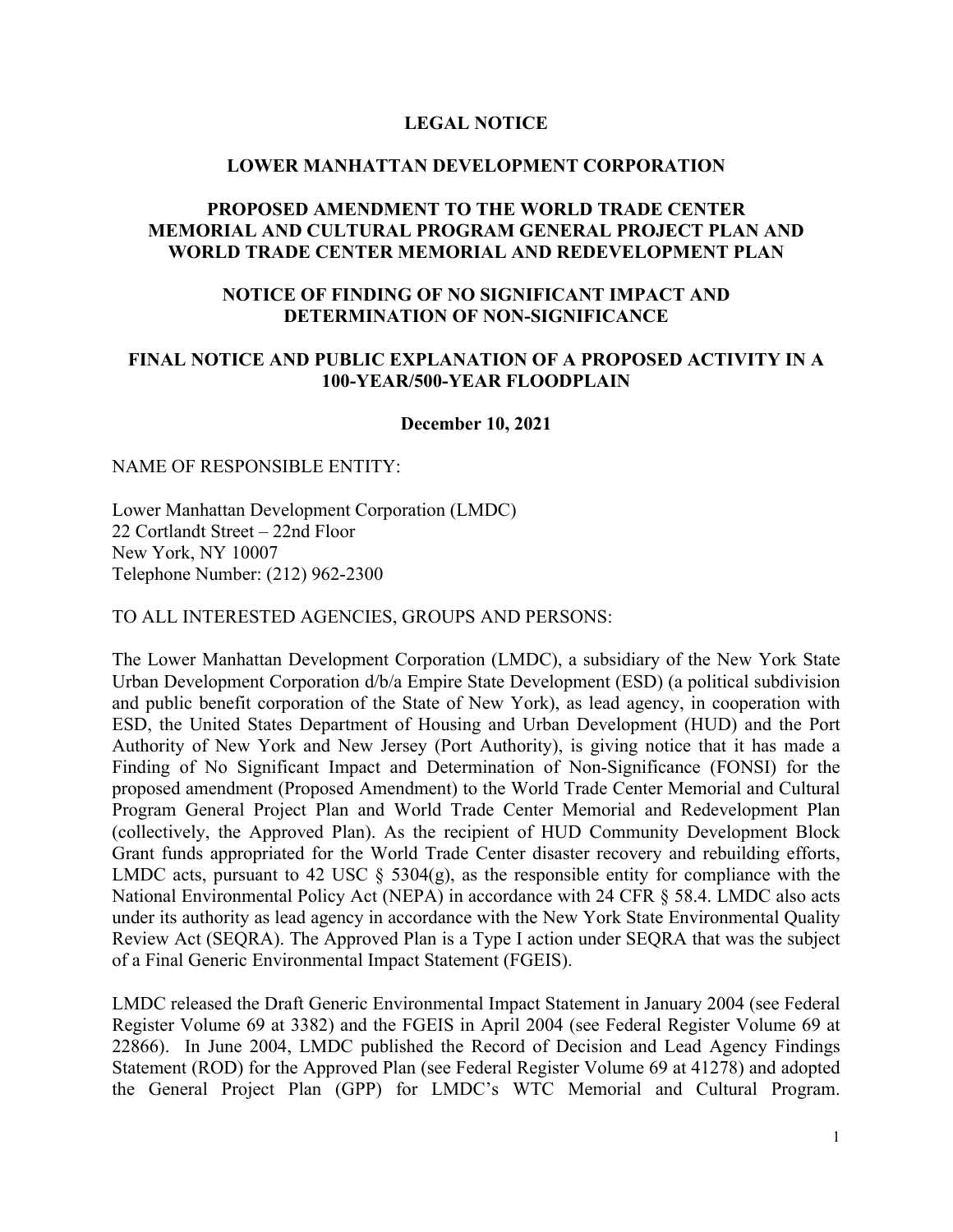### **LEGAL NOTICE**

#### **LOWER MANHATTAN DEVELOPMENT CORPORATION**

## **PROPOSED AMENDMENT TO THE WORLD TRADE CENTER MEMORIAL AND CULTURAL PROGRAM GENERAL PROJECT PLAN AND WORLD TRADE CENTER MEMORIAL AND REDEVELOPMENT PLAN**

## **NOTICE OF FINDING OF NO SIGNIFICANT IMPACT AND DETERMINATION OF NON-SIGNIFICANCE**

## **FINAL NOTICE AND PUBLIC EXPLANATION OF A PROPOSED ACTIVITY IN A 100-YEAR/500-YEAR FLOODPLAIN**

#### **December 10, 2021**

#### NAME OF RESPONSIBLE ENTITY:

Lower Manhattan Development Corporation (LMDC) 22 Cortlandt Street – 22nd Floor New York, NY 10007 Telephone Number: (212) 962-2300

TO ALL INTERESTED AGENCIES, GROUPS AND PERSONS:

The Lower Manhattan Development Corporation (LMDC), a subsidiary of the New York State Urban Development Corporation d/b/a Empire State Development (ESD) (a political subdivision and public benefit corporation of the State of New York), as lead agency, in cooperation with ESD, the United States Department of Housing and Urban Development (HUD) and the Port Authority of New York and New Jersey (Port Authority), is giving notice that it has made a Finding of No Significant Impact and Determination of Non-Significance (FONSI) for the proposed amendment (Proposed Amendment) to the World Trade Center Memorial and Cultural Program General Project Plan and World Trade Center Memorial and Redevelopment Plan (collectively, the Approved Plan). As the recipient of HUD Community Development Block Grant funds appropriated for the World Trade Center disaster recovery and rebuilding efforts, LMDC acts, pursuant to 42 USC  $\S$  5304(g), as the responsible entity for compliance with the National Environmental Policy Act (NEPA) in accordance with 24 CFR § 58.4. LMDC also acts under its authority as lead agency in accordance with the New York State Environmental Quality Review Act (SEQRA). The Approved Plan is a Type I action under SEQRA that was the subject of a Final Generic Environmental Impact Statement (FGEIS).

LMDC released the Draft Generic Environmental Impact Statement in January 2004 (see Federal Register Volume 69 at 3382) and the FGEIS in April 2004 (see Federal Register Volume 69 at 22866). In June 2004, LMDC published the Record of Decision and Lead Agency Findings Statement (ROD) for the Approved Plan (see Federal Register Volume 69 at 41278) and adopted the General Project Plan (GPP) for LMDC's WTC Memorial and Cultural Program.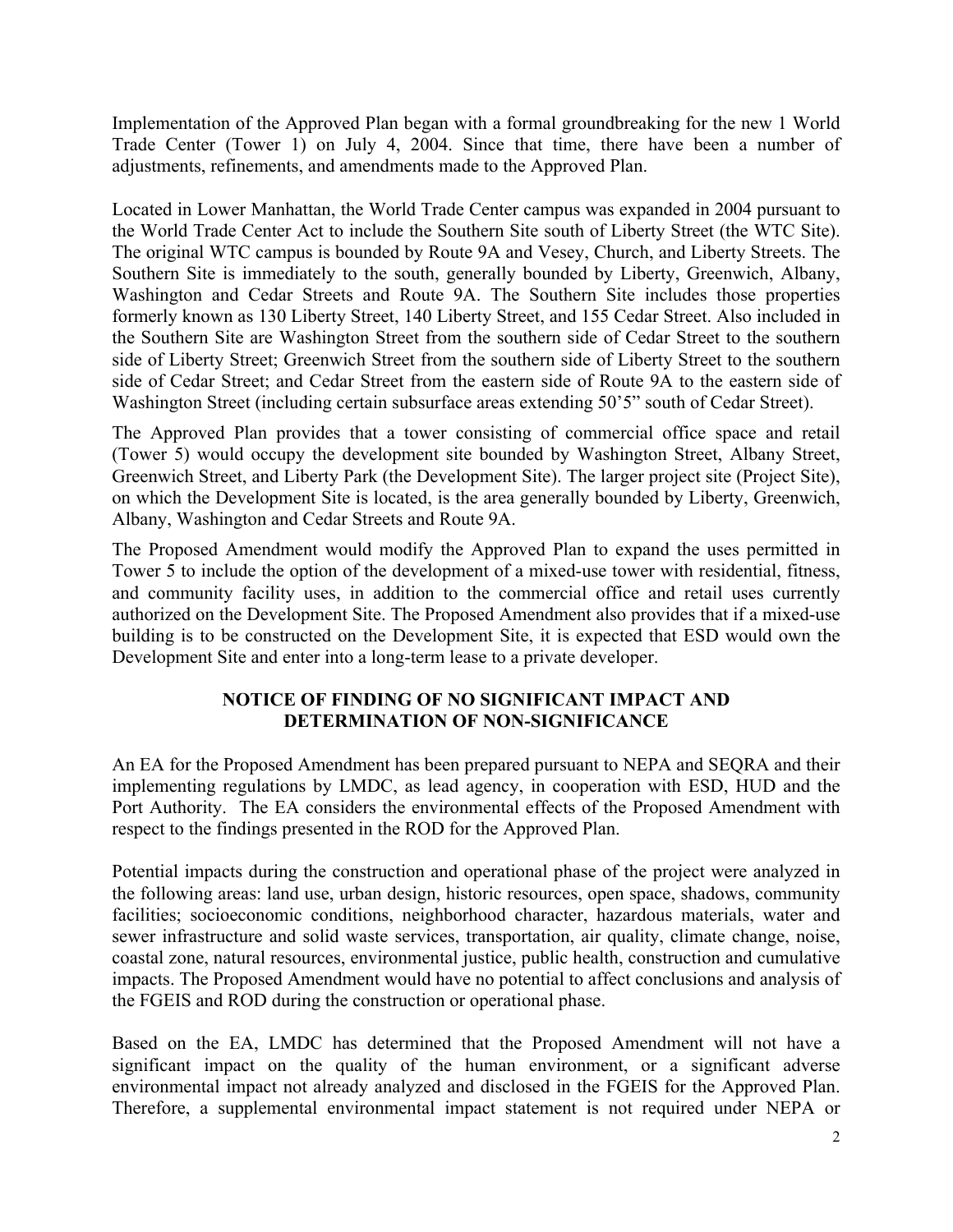Implementation of the Approved Plan began with a formal groundbreaking for the new 1 World Trade Center (Tower 1) on July 4, 2004. Since that time, there have been a number of adjustments, refinements, and amendments made to the Approved Plan.

Located in Lower Manhattan, the World Trade Center campus was expanded in 2004 pursuant to the World Trade Center Act to include the Southern Site south of Liberty Street (the WTC Site). The original WTC campus is bounded by Route 9A and Vesey, Church, and Liberty Streets. The Southern Site is immediately to the south, generally bounded by Liberty, Greenwich, Albany, Washington and Cedar Streets and Route 9A. The Southern Site includes those properties formerly known as 130 Liberty Street, 140 Liberty Street, and 155 Cedar Street. Also included in the Southern Site are Washington Street from the southern side of Cedar Street to the southern side of Liberty Street; Greenwich Street from the southern side of Liberty Street to the southern side of Cedar Street; and Cedar Street from the eastern side of Route 9A to the eastern side of Washington Street (including certain subsurface areas extending 50'5" south of Cedar Street).

The Approved Plan provides that a tower consisting of commercial office space and retail (Tower 5) would occupy the development site bounded by Washington Street, Albany Street, Greenwich Street, and Liberty Park (the Development Site). The larger project site (Project Site), on which the Development Site is located, is the area generally bounded by Liberty, Greenwich, Albany, Washington and Cedar Streets and Route 9A.

The Proposed Amendment would modify the Approved Plan to expand the uses permitted in Tower 5 to include the option of the development of a mixed-use tower with residential, fitness, and community facility uses, in addition to the commercial office and retail uses currently authorized on the Development Site. The Proposed Amendment also provides that if a mixed-use building is to be constructed on the Development Site, it is expected that ESD would own the Development Site and enter into a long-term lease to a private developer.

# **NOTICE OF FINDING OF NO SIGNIFICANT IMPACT AND DETERMINATION OF NON-SIGNIFICANCE**

An EA for the Proposed Amendment has been prepared pursuant to NEPA and SEQRA and their implementing regulations by LMDC, as lead agency, in cooperation with ESD, HUD and the Port Authority. The EA considers the environmental effects of the Proposed Amendment with respect to the findings presented in the ROD for the Approved Plan.

Potential impacts during the construction and operational phase of the project were analyzed in the following areas: land use, urban design, historic resources, open space, shadows, community facilities; socioeconomic conditions, neighborhood character, hazardous materials, water and sewer infrastructure and solid waste services, transportation, air quality, climate change, noise, coastal zone, natural resources, environmental justice, public health, construction and cumulative impacts. The Proposed Amendment would have no potential to affect conclusions and analysis of the FGEIS and ROD during the construction or operational phase.

Based on the EA, LMDC has determined that the Proposed Amendment will not have a significant impact on the quality of the human environment, or a significant adverse environmental impact not already analyzed and disclosed in the FGEIS for the Approved Plan. Therefore, a supplemental environmental impact statement is not required under NEPA or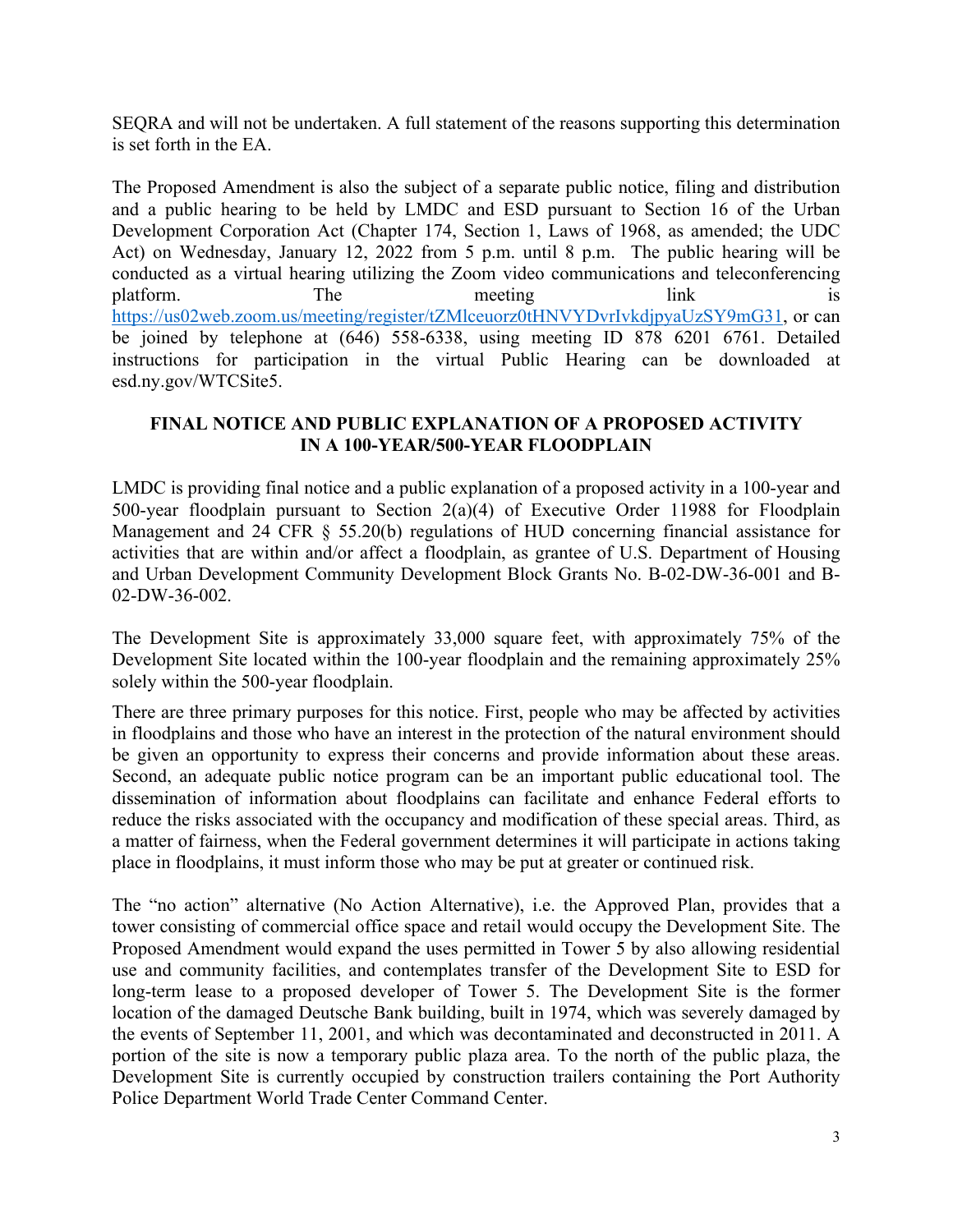SEQRA and will not be undertaken. A full statement of the reasons supporting this determination is set forth in the EA.

The Proposed Amendment is also the subject of a separate public notice, filing and distribution and a public hearing to be held by LMDC and ESD pursuant to Section 16 of the Urban Development Corporation Act (Chapter 174, Section 1, Laws of 1968, as amended; the UDC Act) on Wednesday, January 12, 2022 from 5 p.m. until 8 p.m. The public hearing will be conducted as a virtual hearing utilizing the Zoom video communications and teleconferencing platform. The meeting link is <https://us02web.zoom.us/meeting/register/tZMlceuorz0tHNVYDvrIvkdjpyaUzSY9mG31>, or can be joined by telephone at (646) 558-6338, using meeting ID 878 6201 6761. Detailed instructions for participation in the virtual Public Hearing can be downloaded at esd.ny.gov/WTCSite5.

## **FINAL NOTICE AND PUBLIC EXPLANATION OF A PROPOSED ACTIVITY IN A 100-YEAR/500-YEAR FLOODPLAIN**

LMDC is providing final notice and a public explanation of a proposed activity in a 100-year and 500-year floodplain pursuant to Section 2(a)(4) of Executive Order 11988 for Floodplain Management and 24 CFR § 55.20(b) regulations of HUD concerning financial assistance for activities that are within and/or affect a floodplain, as grantee of U.S. Department of Housing and Urban Development Community Development Block Grants No. B-02-DW-36-001 and B-02-DW-36-002.

The Development Site is approximately 33,000 square feet, with approximately 75% of the Development Site located within the 100-year floodplain and the remaining approximately 25% solely within the 500-year floodplain.

There are three primary purposes for this notice. First, people who may be affected by activities in floodplains and those who have an interest in the protection of the natural environment should be given an opportunity to express their concerns and provide information about these areas. Second, an adequate public notice program can be an important public educational tool. The dissemination of information about floodplains can facilitate and enhance Federal efforts to reduce the risks associated with the occupancy and modification of these special areas. Third, as a matter of fairness, when the Federal government determines it will participate in actions taking place in floodplains, it must inform those who may be put at greater or continued risk.

The "no action" alternative (No Action Alternative), i.e. the Approved Plan, provides that a tower consisting of commercial office space and retail would occupy the Development Site. The Proposed Amendment would expand the uses permitted in Tower 5 by also allowing residential use and community facilities, and contemplates transfer of the Development Site to ESD for long-term lease to a proposed developer of Tower 5. The Development Site is the former location of the damaged Deutsche Bank building, built in 1974, which was severely damaged by the events of September 11, 2001, and which was decontaminated and deconstructed in 2011. A portion of the site is now a temporary public plaza area. To the north of the public plaza, the Development Site is currently occupied by construction trailers containing the Port Authority Police Department World Trade Center Command Center.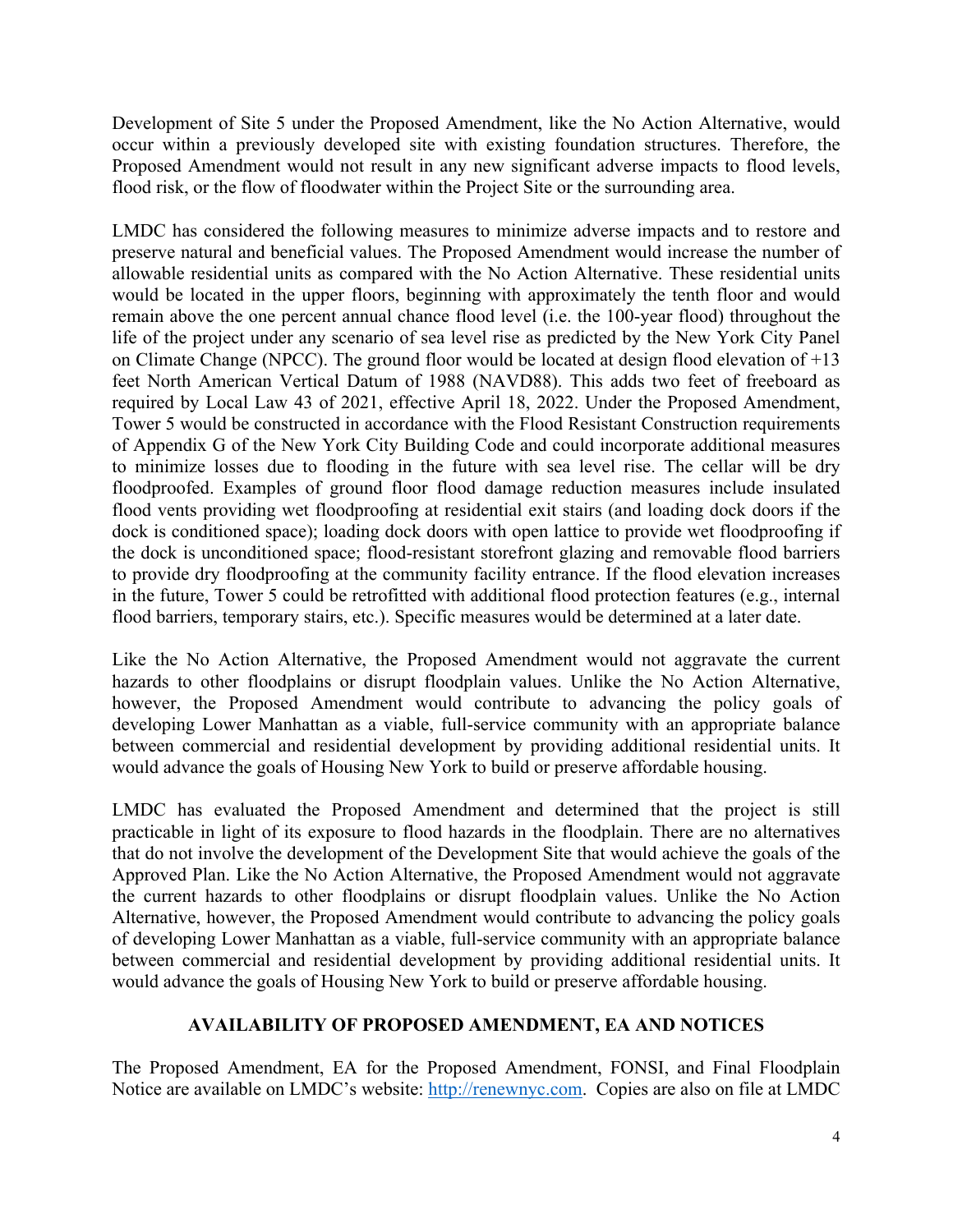Development of Site 5 under the Proposed Amendment, like the No Action Alternative, would occur within a previously developed site with existing foundation structures. Therefore, the Proposed Amendment would not result in any new significant adverse impacts to flood levels, flood risk, or the flow of floodwater within the Project Site or the surrounding area.

LMDC has considered the following measures to minimize adverse impacts and to restore and preserve natural and beneficial values. The Proposed Amendment would increase the number of allowable residential units as compared with the No Action Alternative. These residential units would be located in the upper floors, beginning with approximately the tenth floor and would remain above the one percent annual chance flood level (i.e. the 100-year flood) throughout the life of the project under any scenario of sea level rise as predicted by the New York City Panel on Climate Change (NPCC). The ground floor would be located at design flood elevation of +13 feet North American Vertical Datum of 1988 (NAVD88). This adds two feet of freeboard as required by Local Law 43 of 2021, effective April 18, 2022. Under the Proposed Amendment, Tower 5 would be constructed in accordance with the Flood Resistant Construction requirements of Appendix G of the New York City Building Code and could incorporate additional measures to minimize losses due to flooding in the future with sea level rise. The cellar will be dry floodproofed. Examples of ground floor flood damage reduction measures include insulated flood vents providing wet floodproofing at residential exit stairs (and loading dock doors if the dock is conditioned space); loading dock doors with open lattice to provide wet floodproofing if the dock is unconditioned space; flood-resistant storefront glazing and removable flood barriers to provide dry floodproofing at the community facility entrance. If the flood elevation increases in the future, Tower 5 could be retrofitted with additional flood protection features (e.g., internal flood barriers, temporary stairs, etc.). Specific measures would be determined at a later date.

Like the No Action Alternative, the Proposed Amendment would not aggravate the current hazards to other floodplains or disrupt floodplain values. Unlike the No Action Alternative, however, the Proposed Amendment would contribute to advancing the policy goals of developing Lower Manhattan as a viable, full-service community with an appropriate balance between commercial and residential development by providing additional residential units. It would advance the goals of Housing New York to build or preserve affordable housing.

LMDC has evaluated the Proposed Amendment and determined that the project is still practicable in light of its exposure to flood hazards in the floodplain. There are no alternatives that do not involve the development of the Development Site that would achieve the goals of the Approved Plan. Like the No Action Alternative, the Proposed Amendment would not aggravate the current hazards to other floodplains or disrupt floodplain values. Unlike the No Action Alternative, however, the Proposed Amendment would contribute to advancing the policy goals of developing Lower Manhattan as a viable, full-service community with an appropriate balance between commercial and residential development by providing additional residential units. It would advance the goals of Housing New York to build or preserve affordable housing.

## **AVAILABILITY OF PROPOSED AMENDMENT, EA AND NOTICES**

The Proposed Amendment, EA for the Proposed Amendment, FONSI, and Final Floodplain Notice are available on LMDC's website: [http://renewnyc.com](http://renewnyc.com/). Copies are also on file at LMDC